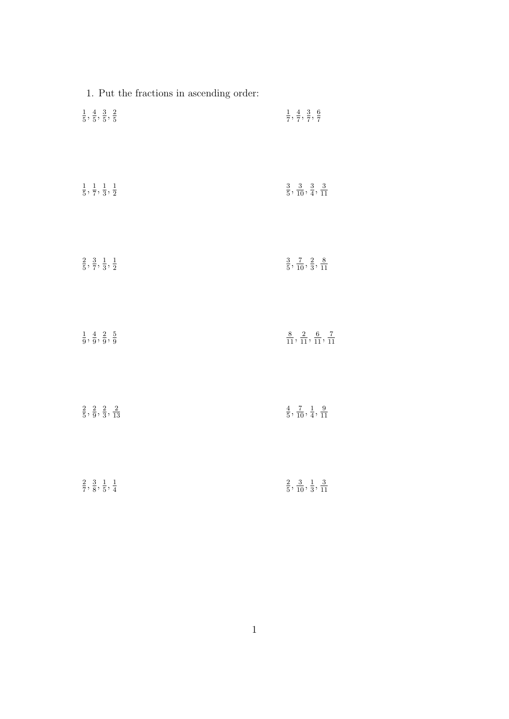| $1. \ \mathrm{Put} \ \mathrm{the} \ \mathrm{fractions} \ \mathrm{in} \ \mathrm{ascending} \ \mathrm{order} \mathrm{:}$ |                                                        |
|------------------------------------------------------------------------------------------------------------------------|--------------------------------------------------------|
| $\frac{1}{5}, \frac{4}{5}, \frac{3}{5}, \frac{2}{5}$                                                                   | $\frac{1}{7}, \frac{4}{7}, \frac{3}{7}, \frac{6}{7}$   |
| $\frac{1}{5}, \frac{1}{7}, \frac{1}{3}, \frac{1}{2}$                                                                   | $\frac{3}{5}, \frac{3}{10}, \frac{3}{4}, \frac{3}{11}$ |
| $\frac{2}{5}, \frac{3}{7}, \frac{1}{3}, \frac{1}{2}$                                                                   | $\frac{3}{5}, \frac{7}{10}, \frac{2}{3}, \frac{8}{11}$ |
| $\frac{1}{9},\frac{4}{9},\frac{2}{9},\frac{5}{9}$                                                                      | $\frac{8}{11},\frac{2}{11},\frac{6}{11},\frac{7}{11}$  |
| $\frac{2}{5}, \frac{2}{9}, \frac{2}{3}, \frac{2}{13}$                                                                  | $\frac{4}{5}, \frac{7}{10}, \frac{1}{4}, \frac{9}{11}$ |
| $\frac{2}{7}, \frac{3}{8}, \frac{1}{5}, \frac{1}{4}$                                                                   | $\frac{2}{5}, \frac{3}{10}, \frac{1}{3}, \frac{3}{11}$ |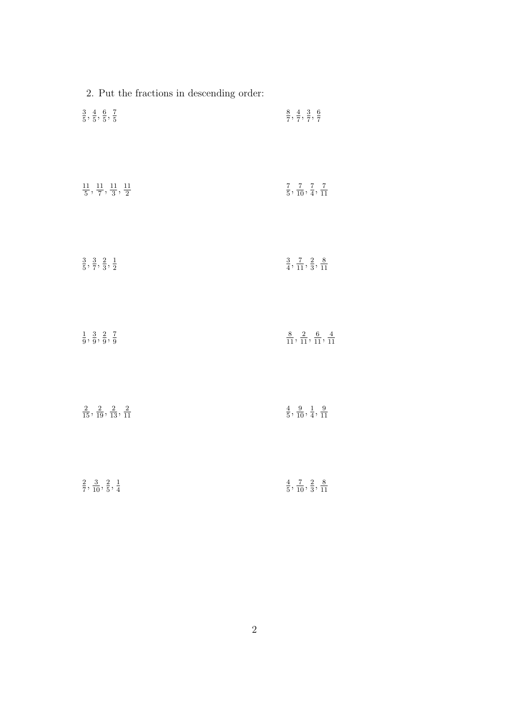| 2. Put the fractions in descending order:                |                                                          |
|----------------------------------------------------------|----------------------------------------------------------|
| $\frac{3}{5}, \frac{4}{5}, \frac{6}{5}, \frac{7}{5}$     | $\frac{8}{7}, \frac{4}{7}, \frac{3}{7}, \frac{6}{7}$     |
| $\frac{11}{5}, \frac{11}{7}, \frac{11}{3}, \frac{11}{2}$ | $\frac{7}{5}, \frac{7}{10}, \frac{7}{4}, \frac{7}{11}$   |
| $\frac{3}{5}, \frac{3}{7}, \frac{2}{3}, \frac{1}{2}$     | $\frac{3}{4}, \frac{7}{11}, \frac{2}{3}, \frac{8}{11}$   |
| $\frac{1}{9}, \frac{3}{9}, \frac{2}{9}, \frac{7}{9}$     | $\frac{8}{11}, \frac{2}{11}, \frac{6}{11}, \frac{4}{11}$ |
| $\frac{2}{15}, \frac{2}{19}, \frac{2}{13}, \frac{2}{11}$ | $\frac{4}{5}, \frac{9}{10}, \frac{1}{4}, \frac{9}{11}$   |
| $\frac{2}{7}, \frac{3}{10}, \frac{2}{5}, \frac{1}{4}$    | $\frac{4}{5}, \frac{7}{10}, \frac{2}{3}, \frac{8}{11}$   |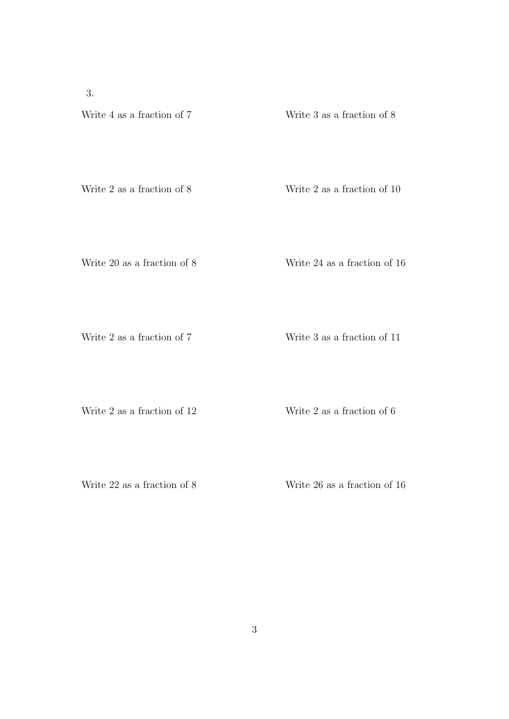3.

## Write 4 as a fraction of 7 Write 3 as a fraction of 8

Write 2 as a fraction of 8 Write 2 as a fraction of 10

Write 20 as a fraction of 8 Write 24 as a fraction of 16

Write 2 as a fraction of 7 Write 3 as a fraction of 11

Write 2 as a fraction of 12 Write 2 as a fraction of 6

Write 22 as a fraction of 8 Write 26 as a fraction of 16